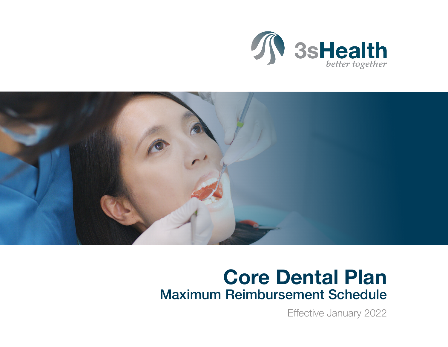



## Core Dental Plan Maximum Reimbursement Schedule

Effective January 2022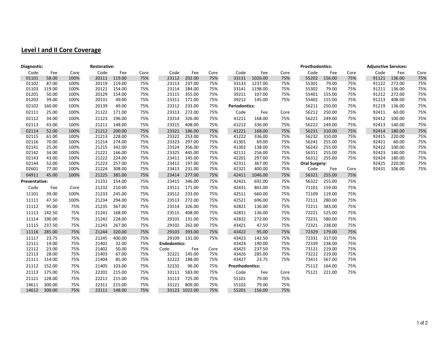## **Level I and II Core Coverage**

| Diagnostic:    |                | <b>Restorative:</b> |                |                  |            |                     |                  |            |                        |                  |            | <b>Prosthodontics:</b> |                  |            | <b>Adjunctive Services:</b> |                  |            |
|----------------|----------------|---------------------|----------------|------------------|------------|---------------------|------------------|------------|------------------------|------------------|------------|------------------------|------------------|------------|-----------------------------|------------------|------------|
| Code           | Fee            | Core                | Code           | Fee              | Core       | Code                | Fee              | Core       | Code                   | Fee              | Core       | Code                   | Fee              | Core       | Code                        | Fee              | Core       |
| 01101          | 58.00          | 100%                | 20111          | 119.00           | 75%        | 23112               | 202.00           | 75%        | 33131                  | 1026.00          | 75%        | 55202                  | 156.00           | 75%        | 91121                       | 136.00           | 75%        |
| 01102          | 87.00          | 100%                | 20119          | 119.00           | 75%        | 23113               | 237.00           | 75%        | 33133                  | 1237.00          | 75%        | 55301                  | 79.00            | 75%        | 91122                       | 272.00           | 75%        |
| 01103          | 119.00         | 100%                | 20121          | 154.00           | 75%        | 23114               | 284.00           | 75%        | 33141                  | 1198.00          | 75%        | 55302                  | 79.00            | 75%        | 91211                       | 136.00           | 75%        |
| 01201          | 50.00          | 100%                | 20129          | 154.00           | 75%        | 23115               | 355.00           | 75%        | 39211                  | 107.00           | 75%        | 55401                  | 155.00           | 75%        | 91212                       | 272.00           | 75%        |
| 01202          | 39.00          | 100%                | 20131          | 49.00            | 75%        | 23311               | 171.00           | 75%        | 39212                  | 145.00           | 75%        | 55402                  | 155.00           | 75%        | 91213                       | 408.00           | 75%        |
| 02102          | 160.00         | 100%                | 20139          | 49.00            | 75%        | 23312               | 233.00           | 75%        | <b>Periodontics:</b>   |                  |            | 56211                  | 250.00           | 75%        | 91219                       | 136.00           | 75%        |
| 02111          | 25.00          | 100%                | 21122          | 171.00           | 75%        | 23313               | 272.00           | 75%        | Code                   | Fee              | Core       | 56212                  | 250.00           | 75%        | 92411                       | 60.00            | 75%        |
| 02112          | 34.00          | 100%                | 21123          | 196.00           | 75%        | 23314               | 326.00           | 75%        | 41211                  | 168.00           | 75%        | 56221                  | 249.00           | 75%        | 92412                       | 100.00           | 75%        |
| 02113          | 43.00          | 100%                | 21211          | 148.00           | 75%        | 23315               | 408.00           | 75%        | 41212                  | 336.00           | 75%        | 56222                  | 249.00           | 75%        | 92413                       | 140.00           | 75%        |
| 02114          | 52.00          | 100%                | 21212          | 200.00           | 75%        | 23321               | 186.00           | 75%        | 41221                  | 168.00           | 75%        | 56231                  | 310.00           | 75%        | 92414                       | 180.00           | 75%        |
| 02115          | 61.00          | 100%                | 21213          | 228.00           | 75%        | 23322               | 253.00           | 75%        | 41222                  | 336.00           | 75%        | 56232                  | 310.00           | 75%        | 92415                       | 220.00           | 75%        |
| 02116          | 70.00          | 100%                | 21214          | 274.00           | 75%        | 23323               | 297.00           | 75%        | 41301                  | 69.00            | 75%        | 56241                  | 255.00           | 75%        | 92421                       | 60.00            | 75%        |
| 02141          | 25.00          | 100%                | 21215          | 342.00           | 75%        | 23324               | 356.00           | 75%        | 41302                  | 138.00           | 75%        | 56242                  | 255.00           | 75%        | 92422                       | 100.00           | 75%        |
| 02142<br>02143 | 34.00<br>43.00 | 100%<br>100%        | 21221<br>21222 | 166.00<br>224.00 | 75%<br>75% | 23325<br>23411      | 445.00<br>145.00 | 75%<br>75% | 42111<br>42201         | 256.00<br>297.00 | 75%<br>75% | 56311<br>56312         | 255.00<br>255.00 | 75%<br>75% | 92423<br>92424              | 140.00<br>180.00 | 75%<br>75% |
| 02144          | 52.00          | 100%                | 21223          | 257.00           | 75%        | 23412               | 197.00           | 75%        | 42311                  | 367.00           | 75%        | <b>Oral Surgery:</b>   |                  |            | 92425                       | 220.00           | 75%        |
| 02601          | 77.00          | 100%                | 21224          | 308.00           | 75%        | 23413               | 231.00           | 75%        | 42321                  | 400.00           | 75%        | Code                   | Fee              | Core       | 92431                       | 106.00           | 75%        |
| 04911          | 45.00          | 100%                | 21225          | 385.00           | 75%        | 23414               | 277.00           | 75%        | 42411                  | 1046.00          | 75%        | 56321                  | 255.00           | 75%        |                             |                  |            |
| Preventative:  |                |                     | 21231          | 154.00           | 75%        | 23415               | 346.00           | 75%        | 42421                  | 692.00           | 75%        | 56322                  | 255.00           | 75%        |                             |                  |            |
| Code           | Fee            | Core                | 21232          | 210.00           | 75%        | 23511               | 171.00           | 75%        | 42431                  | 801.00           | 75%        | 71101                  | 159.00           | 75%        |                             |                  |            |
| 11101          | 39.00          | 100%                | 21233          | 245.00           | 75%        | 23512               | 233.00           | 75%        | 42511                  | 660.00           | 75%        | 71109                  | 119.00           | 75%        |                             |                  |            |
| 11111          | 47.50          | 100%                | 21234          | 294.00           | 75%        | 23513               | 272.00           | 75%        | 42521                  | 696.00           | 75%        | 72111                  | 280.00           | 75%        |                             |                  |            |
| 11112          | 95.00          | 75%                 | 21235          | 367.00           | 75%        | 23514               | 326.00           | 75%        | 42821                  | 136.00           | 75%        | 72211                  | 383.00           | 75%        |                             |                  |            |
| 11113          | 142.50         | 75%                 | 21241          | 168.00           | 75%        | 23515               | 408.00           | 75%        | 42831                  | 136.00           | 75%        | 72221                  | 525.00           | 75%        |                             |                  |            |
| 11114          | 190.00         | 75%                 | 21242          | 228.00           | 75%        | 29101               | 131.00           | 75%        | 42832                  | 272.00           | 75%        | 72231                  | 580.00           | 75%        |                             |                  |            |
| 11115          | 237.50         | 75%                 | 21243          | 267.00           | 75%        | 29102               | 262.00           | 75%        | 43421                  | 47.50            | 75%        | 72321                  | 238.00           | 75%        |                             |                  |            |
| 11116          | 285.00         | 75%                 | 21244          | 320.00           | 75%        | 29103               | 393.00           | 75%        | 43422                  | 95.00            | 75%        | 72329                  | 179.00           | 75%        |                             |                  |            |
| 11117          | 23.75          | 75%                 | 21245          | 400.00           | 75%        | 29109               | 131.00           | 75%        | 43423                  | 142.50           | 75%        | 72331                  | 317.00           | 75%        |                             |                  |            |
| 12111          | 19.00          | 75%                 | 21401          | 32.00            | 75%        | <b>Endodontics:</b> |                  |            | 43424                  | 190.00           | 75%        | 72339                  | 238.00           | 75%        |                             |                  |            |
| 12112          | 23.00          | 75%                 | 21402          | 50.00            | 75%        | Code                | Fee              | Core       | 43425                  | 237.50           | 75%        | 73121                  | 219.00           | 75%        |                             |                  |            |
| 12113          | 28.00          | 75%                 | 21403          | 67.00            | 75%        | 32221               | 145.00           | 75%        | 43426                  | 285.00           | 75%        | 73222                  | 219.00           | 75%        |                             |                  |            |
| 21111          | 114.00         | 75%                 | 21404          | 85.00            | 75%        | 32222               | 188.00           | 75%        | 43427                  | 23.75            | 75%        | 73411                  | 567.00           | 75%        |                             |                  |            |
| 21112          | 152.00         | 75%                 | 21405          | 103.00           | 75%        | 32232               | 96.00            | 75%        | <b>Prosthodontics:</b> |                  |            | 75112                  | 164.00           | 75%        |                             |                  |            |
| 21113          | 175.00         | 75%                 | 22201          | 215.00           | 75%        | 33111               | 583.00           | 75%        | Code                   | Fee              | Core       | 75121                  | 221.00           | 75%        |                             |                  |            |
| 21121          | 128.00         | 75%                 | 22211          | 215.00           | 75%        | 33113               | 725.00           | 75%        | 55101                  | 79.00            | 75%        |                        |                  |            |                             |                  |            |
| 14611          | 300.00         | 75%                 | 22311          | 215.00           | 75%        | 33121               | 809.00           | 75%        | 55102                  | 79.00            | 75%        |                        |                  |            |                             |                  |            |
| 14612          | 300.00         | 75%                 | 23111          | 148.00           | 75%        |                     | 33123 1022.00    | 75%        | 55201                  | 156.00           | 75%        |                        |                  |            |                             |                  |            |